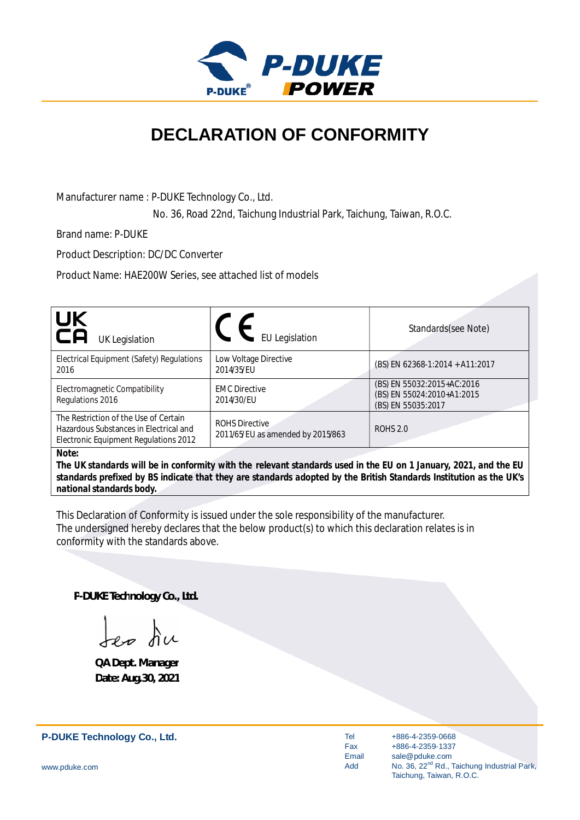

## **DECLARATION OF CONFORMITY**

Manufacturer name : P-DUKE Technology Co., Ltd.

No. 36, Road 22nd, Taichung Industrial Park, Taichung, Taiwan, R.O.C.

Brand name: P-DUKE

Product Description: DC/DC Converter

Product Name: HAE200W Series, see attached list of models

| UK<br>CA<br><b>UK Legislation</b>                                                                                           | <b>EU</b> Legislation                                      | Standards(see Note)                                                            |
|-----------------------------------------------------------------------------------------------------------------------------|------------------------------------------------------------|--------------------------------------------------------------------------------|
| Electrical Equipment (Safety) Regulations<br>2016                                                                           | Low Voltage Directive<br>2014/35/EU                        | (BS) EN 62368-1:2014 + A11:2017                                                |
| Electromagnetic Compatibility<br>Regulations 2016                                                                           | <b>EMC Directive</b><br>2014/30/EU                         | (BS) EN 55032:2015+AC:2016<br>(BS) EN 55024:2010+A1:2015<br>(BS) EN 55035:2017 |
| The Restriction of the Use of Certain<br>Hazardous Substances in Electrical and<br>Electronic Equipment Regulations 2012    | <b>ROHS Directive</b><br>2011/65/EU as amended by 2015/863 | <b>ROHS 2.0</b>                                                                |
| Note:<br>The IIK standards will be in conformity with the relevant standards used in the ELL on 1 January 2021, and the ELL |                                                            |                                                                                |

*The UK standards will be in conformity with the relevant standards used in the EU on 1 January, 2021, and the EU standards prefixed by BS indicate that they are standards adopted by the British Standards Institution as the UK's national standards body.*

This Declaration of Conformity is issued under the sole responsibility of the manufacturer. The undersigned hereby declares that the below product(s) to which this declaration relates is in conformity with the standards above.

**P-DUKE Technology Co., Ltd.**

Jep du

**QA Dept. Manager Date: Aug.30, 2021**

**P-DUKE Technology Co., Ltd.**

Tel Fax Email Add

+886-4-2359-0668 +886-4-2359-1337 sale@pduke.com No. 36, 22<sup>nd</sup> Rd., Taichung Industrial Park, Taichung, Taiwan, R.O.C.